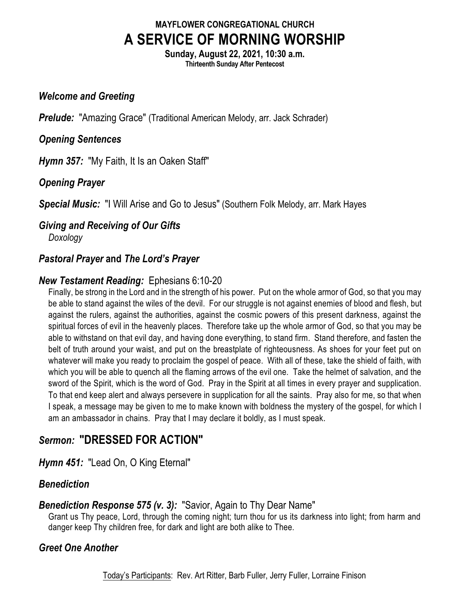## **MAYFLOWER CONGREGATIONAL CHURCH A SERVICE OF MORNING WORSHIP**

**Sunday, August 22, 2021, 10:30 a.m. Thirteenth Sunday After Pentecost**

#### *Welcome and Greeting*

*Prelude:* "Amazing Grace" (Traditional American Melody, arr. Jack Schrader)

## *Opening Sentences*

*Hymn 357:* "My Faith, It Is an Oaken Staff"

## *Opening Prayer*

*Special Music:* "I Will Arise and Go to Jesus" (Southern Folk Melody, arr. Mark Hayes

# *Giving and Receiving of Our Gifts*

*Doxology*

## *Pastoral Prayer* **and** *The Lord's Prayer*

## *New Testament Reading:* Ephesians 6:10-20

Finally, be strong in the Lord and in the strength of his power. Put on the whole armor of God, so that you may be able to stand against the wiles of the devil. For our struggle is not against enemies of blood and flesh, but against the rulers, against the authorities, against the cosmic powers of this present darkness, against the spiritual forces of evil in the heavenly places. Therefore take up the whole armor of God, so that you may be able to withstand on that evil day, and having done everything, to stand firm. Stand therefore, and fasten the belt of truth around your waist, and put on the breastplate of righteousness. As shoes for your feet put on whatever will make you ready to proclaim the gospel of peace. With all of these, take the shield of faith, with which you will be able to quench all the flaming arrows of the evil one. Take the helmet of salvation, and the sword of the Spirit, which is the word of God. Pray in the Spirit at all times in every prayer and supplication. To that end keep alert and always persevere in supplication for all the saints. Pray also for me, so that when I speak, a message may be given to me to make known with boldness the mystery of the gospel, for which I am an ambassador in chains. Pray that I may declare it boldly, as I must speak.

## *Sermon:* **"DRESSED FOR ACTION"**

*Hymn 451:* "Lead On, O King Eternal"

## *Benediction*

## *Benediction Response 575 (v. 3):* "Savior, Again to Thy Dear Name"

Grant us Thy peace, Lord, through the coming night; turn thou for us its darkness into light; from harm and danger keep Thy children free, for dark and light are both alike to Thee.

## *Greet One Another*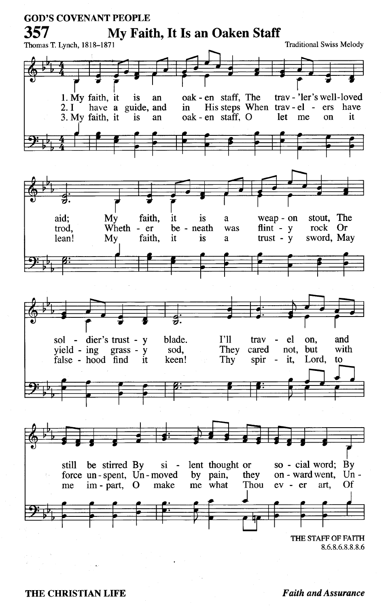

#### **Faith and Assurance**

THE CHRISTIAN LIFE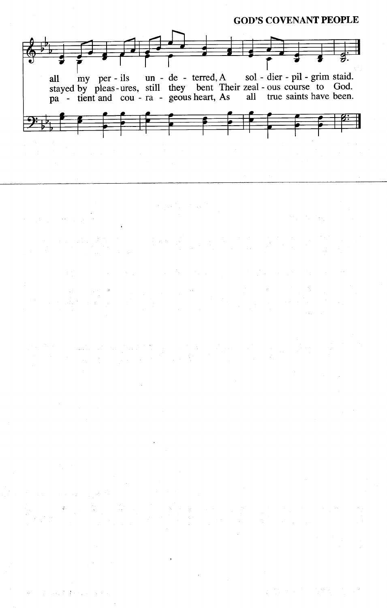#### **GOD'S COVENANT PEOPLE**



الأصف